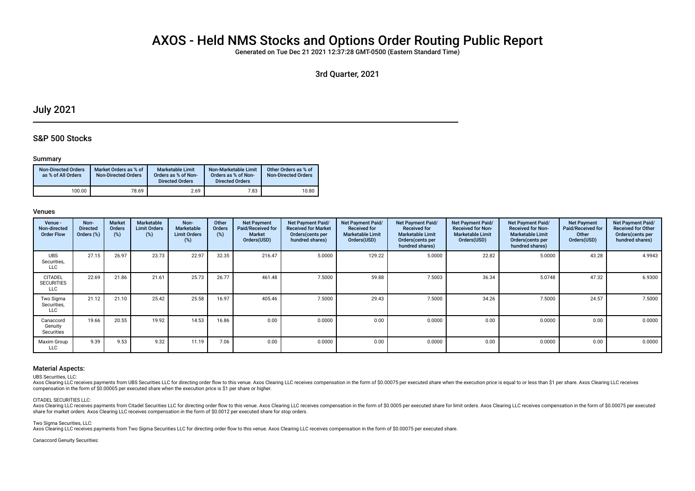# AXOS - Held NMS Stocks and Options Order Routing Public Report

Generated on Tue Dec 21 2021 12:37:28 GMT-0500 (Eastern Standard Time)

3rd Quarter, 2021

# July 2021

# S&P 500 Stocks

## Summary

| <b>Non-Directed Orders</b><br>as % of All Orders | Market Orders as % of<br><b>Non-Directed Orders</b> | <b>Marketable Limit</b><br>Orders as % of Non-<br><b>Directed Orders</b> | Non-Marketable Limit<br>Orders as % of Non-<br><b>Directed Orders</b> | Other Orders as % of<br><b>Non-Directed Orders</b> |
|--------------------------------------------------|-----------------------------------------------------|--------------------------------------------------------------------------|-----------------------------------------------------------------------|----------------------------------------------------|
| 100.00                                           | 78.69                                               | 2.69                                                                     | 7.83                                                                  | 10.80                                              |

### Venues

| Venue -<br>Non-directed<br><b>Order Flow</b> | Non-<br><b>Directed</b><br>Orders (%) | <b>Market</b><br>Orders<br>(%) | Marketable<br><b>Limit Orders</b><br>(%) | Non-<br><b>Marketable</b><br><b>Limit Orders</b><br>(%) | Other<br>Orders<br>$(\%)$ | <b>Net Payment</b><br>Paid/Received for<br>Market<br>Orders(USD) | Net Payment Paid/<br><b>Received for Market</b><br>Orders (cents per<br>hundred shares) | Net Payment Paid/<br><b>Received for</b><br><b>Marketable Limit</b><br>Orders(USD) | Net Payment Paid/<br><b>Received for</b><br><b>Marketable Limit</b><br>Orders (cents per<br>hundred shares) | Net Payment Paid/<br><b>Received for Non-</b><br><b>Marketable Limit</b><br>Orders(USD) | Net Payment Paid/<br><b>Received for Non-</b><br><b>Marketable Limit</b><br>Orders(cents per<br>hundred shares) | <b>Net Payment</b><br>Paid/Received for<br>Other<br>Orders(USD) | Net Payment Paid/<br><b>Received for Other</b><br>Orders(cents per<br>hundred shares) |
|----------------------------------------------|---------------------------------------|--------------------------------|------------------------------------------|---------------------------------------------------------|---------------------------|------------------------------------------------------------------|-----------------------------------------------------------------------------------------|------------------------------------------------------------------------------------|-------------------------------------------------------------------------------------------------------------|-----------------------------------------------------------------------------------------|-----------------------------------------------------------------------------------------------------------------|-----------------------------------------------------------------|---------------------------------------------------------------------------------------|
| <b>UBS</b><br>Securities,<br><b>LLC</b>      | 27.15                                 | 26.97                          | 23.73                                    | 22.97                                                   | 32.35                     | 216.47                                                           | 5.0000                                                                                  | 129.22                                                                             | 5.0000                                                                                                      | 22.82                                                                                   | 5.0000                                                                                                          | 43.28                                                           | 4.9943                                                                                |
| <b>CITADEL</b><br><b>SECURITIES</b><br>LLC   | 22.69                                 | 21.86                          | 21.61                                    | 25.73                                                   | 26.77                     | 461.48                                                           | 7.5000                                                                                  | 59.88                                                                              | 7.5003                                                                                                      | 36.34                                                                                   | 5.0748                                                                                                          | 47.32                                                           | 6.9300                                                                                |
| Two Sigma<br>Securities,<br>LLC              | 21.12                                 | 21.10                          | 25.42                                    | 25.58                                                   | 16.97                     | 405.46                                                           | 7.5000                                                                                  | 29.43                                                                              | 7.5000                                                                                                      | 34.26                                                                                   | 7.5000                                                                                                          | 24.57                                                           | 7.5000                                                                                |
| Canaccord<br>Genuity<br>Securities           | 19.66                                 | 20.55                          | 19.92                                    | 14.53                                                   | 16.86                     | 0.00                                                             | 0.0000                                                                                  | 0.00                                                                               | 0.0000                                                                                                      | 0.00                                                                                    | 0.0000                                                                                                          | 0.00                                                            | 0.0000                                                                                |
| Maxim Group<br>LLC                           | 9.39                                  | 9.53                           | 9.32                                     | 11.19                                                   | 7.06                      | 0.00                                                             | 0.0000                                                                                  | 0.00                                                                               | 0.0000                                                                                                      | 0.00                                                                                    | 0.0000                                                                                                          | 0.00                                                            | 0.0000                                                                                |

### Material Aspects:

UBS Securities, LLC:

Axos Clearing LLC receives payments from UBS Securities LLC for directing order flow to this venue. Axos Clearing LLC receives compensation in the form of \$0.00075 per executed share when the execution price is equal to or compensation in the form of \$0.00005 per executed share when the execution price is \$1 per share or higher.

#### CITADEL SECURITIES LLC:

Axos Clearing LLC receives payments from Citadel Securities LLC for directing order flow to this venue. Axos Clearing LLC receives compensation in the form of \$0.0005 per executed share for limit orders. Axos Clearing LLC share for market orders. Axos Clearing LLC receives compensation in the form of \$0.0012 per executed share for stop orders.

Two Sigma Securities, LLC:

Axos Clearing LLC receives payments from Two Sigma Securities LLC for directing order flow to this venue. Axos Clearing LLC receives compensation in the form of \$0.00075 per executed share.

Canaccord Genuity Securities: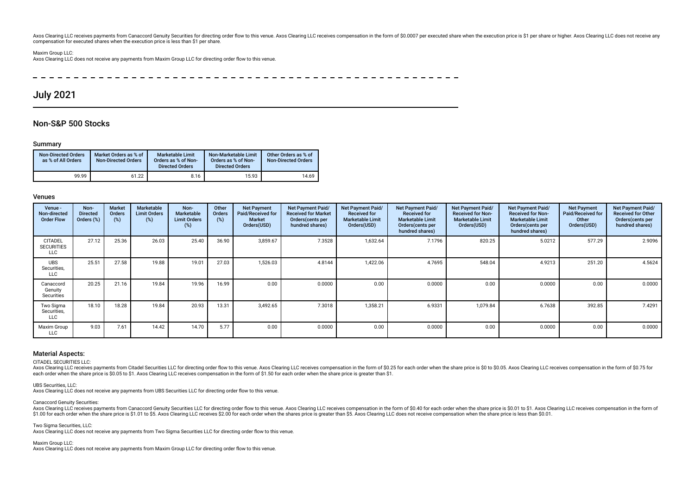Axos Clearing LLC receives payments from Canaccord Genuity Securities for directing order flow to this venue. Axos Clearing LLC receives compensation in the form of \$0.0007 per executed share when the execution price is \$1 compensation for executed shares when the execution price is less than \$1 per share.

#### Maxim Group LLC:

Axos Clearing LLC does not receive any payments from Maxim Group LLC for directing order fow to this venue.

# July 2021

# Non-S&P 500 Stocks

### Summary

| <b>Non-Directed Orders</b><br>as % of All Orders | Market Orders as % of<br><b>Non-Directed Orders</b> | <b>Marketable Limit</b><br>Orders as % of Non-<br><b>Directed Orders</b> | Non-Marketable Limit<br>Orders as % of Non-<br><b>Directed Orders</b> | Other Orders as % of<br><b>Non-Directed Orders</b> |
|--------------------------------------------------|-----------------------------------------------------|--------------------------------------------------------------------------|-----------------------------------------------------------------------|----------------------------------------------------|
| 99.99                                            | 61.22                                               | 8.16                                                                     | 15.93                                                                 | 14.69                                              |

### Venues

| Venue -<br>Non-directed<br><b>Order Flow</b>      | Non-<br><b>Directed</b><br>Orders (%) | <b>Market</b><br><b>Orders</b><br>(%) | <b>Marketable</b><br><b>Limit Orders</b><br>(%) | Non-<br><b>Marketable</b><br><b>Limit Orders</b><br>(%) | Other<br>Orders<br>$(\%)$ | <b>Net Payment</b><br><b>Paid/Received for</b><br>Market<br>Orders(USD) | <b>Net Payment Paid/</b><br><b>Received for Market</b><br>Orders (cents per<br>hundred shares) | Net Payment Paid/<br><b>Received for</b><br><b>Marketable Limit</b><br>Orders(USD) | Net Payment Paid/<br><b>Received for</b><br><b>Marketable Limit</b><br>Orders (cents per<br>hundred shares) | Net Payment Paid/<br><b>Received for Non-</b><br><b>Marketable Limit</b><br>Orders(USD) | Net Payment Paid/<br><b>Received for Non-</b><br><b>Marketable Limit</b><br>Orders (cents per<br>hundred shares) | <b>Net Payment</b><br>Paid/Received for<br>Other<br>Orders(USD) | Net Payment Paid/<br><b>Received for Other</b><br>Orders (cents per<br>hundred shares) |
|---------------------------------------------------|---------------------------------------|---------------------------------------|-------------------------------------------------|---------------------------------------------------------|---------------------------|-------------------------------------------------------------------------|------------------------------------------------------------------------------------------------|------------------------------------------------------------------------------------|-------------------------------------------------------------------------------------------------------------|-----------------------------------------------------------------------------------------|------------------------------------------------------------------------------------------------------------------|-----------------------------------------------------------------|----------------------------------------------------------------------------------------|
| <b>CITADEL</b><br><b>SECURITIES</b><br><b>LLC</b> | 27.12                                 | 25.36                                 | 26.03                                           | 25.40                                                   | 36.90                     | 3,859.67                                                                | 7.3528                                                                                         | 1,632.64                                                                           | 7.1796                                                                                                      | 820.25                                                                                  | 5.0212                                                                                                           | 577.29                                                          | 2.9096                                                                                 |
| <b>UBS</b><br>Securities,<br><b>LLC</b>           | 25.51                                 | 27.58                                 | 19.88                                           | 19.01                                                   | 27.03                     | 1,526.03                                                                | 4.8144                                                                                         | 1,422.06                                                                           | 4.7695                                                                                                      | 548.04                                                                                  | 4.9213                                                                                                           | 251.20                                                          | 4.5624                                                                                 |
| Canaccord<br>Genuity<br>Securities                | 20.25                                 | 21.16                                 | 19.84                                           | 19.96                                                   | 16.99                     | 0.00                                                                    | 0.0000                                                                                         | 0.00                                                                               | 0.0000                                                                                                      | 0.00                                                                                    | 0.0000                                                                                                           | 0.00                                                            | 0.0000                                                                                 |
| Two Sigma<br>Securities,<br><b>LLC</b>            | 18.10                                 | 18.28                                 | 19.84                                           | 20.93                                                   | 13.31                     | 3,492.65                                                                | 7.3018                                                                                         | 1,358.21                                                                           | 6.9331                                                                                                      | 1,079.84                                                                                | 6.7638                                                                                                           | 392.85                                                          | 7.4291                                                                                 |
| Maxim Group<br><b>LLC</b>                         | 9.03                                  | 7.61                                  | 14.42                                           | 14.70                                                   | 5.77                      | 0.00                                                                    | 0.0000                                                                                         | 0.00                                                                               | 0.0000                                                                                                      | 0.00                                                                                    | 0.0000                                                                                                           | 0.00                                                            | 0.0000                                                                                 |

#### Material Aspects:

CITADEL SECURITIES LLC:

Axos Clearing LLC receives payments from Citadel Securities LLC for directing order flow to this venue. Axos Clearing LLC receives compensation in the form of \$0.25 for each order when the share price is \$0 to \$0.05. Axos each order when the share price is \$0.05 to \$1. Axos Clearing LLC receives compensation in the form of \$1.50 for each order when the share price is greater than \$1.

#### UBS Securities, LLC:

Axos Clearing LLC does not receive any payments from UBS Securities LLC for directing order fow to this venue.

#### Canaccord Genuity Securities:

Axos Clearing LLC receives payments from Canaccord Genuity Securities LLC for directing order flow to this venue. Axos Clearing LLC receives compensation in the form of \$0.40 for each order when the share price is \$0.01 to \$1.00 for each order when the share price is \$1.01 to \$5. Axos Clearing LLC receives \$2.00 for each order when the shares price is greater than \$5. Axos Clearing LLC does not receive compensation when the share price is le

Two Sigma Securities, LLC:

Axos Clearing LLC does not receive any payments from Two Sigma Securities LLC for directing order fow to this venue.

Maxim Group LLC:

Axos Clearing LLC does not receive any payments from Maxim Group LLC for directing order fow to this venue.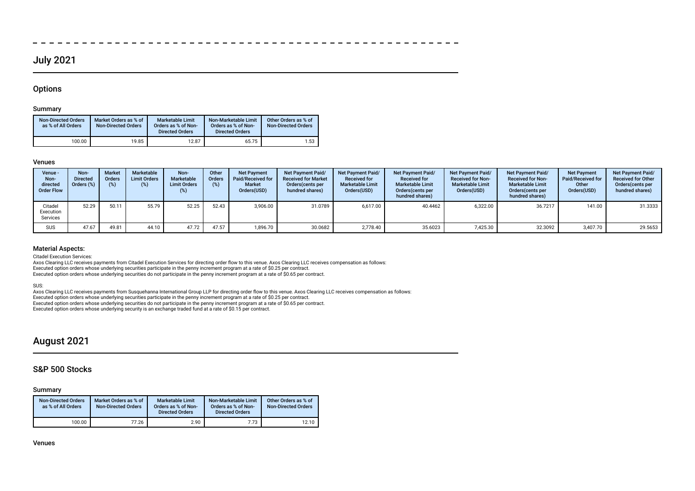# July 2021

# **Options**

# Summary

| <b>Non-Directed Orders</b><br>as % of All Orders | Market Orders as % of<br><b>Non-Directed Orders</b> | <b>Marketable Limit</b><br>Orders as % of Non-<br><b>Directed Orders</b> | Non-Marketable Limit<br>Orders as % of Non-<br><b>Directed Orders</b> | Other Orders as % of<br><b>Non-Directed Orders</b> |
|--------------------------------------------------|-----------------------------------------------------|--------------------------------------------------------------------------|-----------------------------------------------------------------------|----------------------------------------------------|
| 100.00                                           | 19.85                                               | 12.87                                                                    | 65.75                                                                 | 1.53                                               |

#### Venues

| Venue -<br>Non-<br>directed<br><b>Order Flow</b> | Non-<br><b>Directed</b><br>Orders (%) | <b>Market</b><br><b>Orders</b><br>(%) | Marketable<br><b>Limit Orders</b><br>(%) | Non-<br>Marketable<br><b>Limit Orders</b><br>(%) | Other<br>Orders<br>$(\%)$ | <b>Net Payment</b><br>Paid/Received for<br><b>Market</b><br>Orders(USD) | <b>Net Payment Paid/</b><br><b>Received for Market</b><br>Orders (cents per<br>hundred shares) | <b>Net Payment Paid/</b><br><b>Received for</b><br><b>Marketable Limit</b><br>Orders(USD) | <b>Net Payment Paid/</b><br><b>Received for</b><br><b>Marketable Limit</b><br>Orders(cents per<br>hundred shares) | <b>Net Payment Paid/</b><br><b>Received for Non-</b><br><b>Marketable Limit</b><br>Orders(USD) | Net Payment Paid/<br><b>Received for Non-</b><br><b>Marketable Limit</b><br>Orders(cents per<br>hundred shares) | <b>Net Payment</b><br><b>Paid/Received for</b><br>Other<br>Orders(USD) | Net Payment Paid/<br><b>Received for Other</b><br>Orders (cents per<br>hundred shares) |
|--------------------------------------------------|---------------------------------------|---------------------------------------|------------------------------------------|--------------------------------------------------|---------------------------|-------------------------------------------------------------------------|------------------------------------------------------------------------------------------------|-------------------------------------------------------------------------------------------|-------------------------------------------------------------------------------------------------------------------|------------------------------------------------------------------------------------------------|-----------------------------------------------------------------------------------------------------------------|------------------------------------------------------------------------|----------------------------------------------------------------------------------------|
| Citadel<br>Execution<br>Services                 | 52.29                                 | 50.11                                 | 55.79                                    | 52.25                                            | 52.43                     | 3,906.00                                                                | 31.0789                                                                                        | 6.617.00                                                                                  | 40.4462                                                                                                           | 6,322.00                                                                                       | 36.7217                                                                                                         | 141.00                                                                 | 31.3333                                                                                |
| <b>SUS</b>                                       | 47.67                                 | 49.81                                 | 44.10                                    | 47.72                                            | 47.57                     | 1.896.70                                                                | 30.0682                                                                                        | 2.778.40                                                                                  | 35.6023                                                                                                           | 7.425.30                                                                                       | 32.3092                                                                                                         | 3.407.70                                                               | 29.5653                                                                                |

 $-$ 

## Material Aspects:

Citadel Execution Services:

Axos Clearing LLC receives payments from Citadel Execution Services for directing order fow to this venue. Axos Clearing LLC receives compensation as follows: Executed option orders whose underlying securities participate in the penny increment program at a rate of \$0.25 per contract.

Executed option orders whose underlying securities do not participate in the penny increment program at a rate of \$0.65 per contract.

SUS:

Axos Clearing LLC receives payments from Susquehanna International Group LLP for directing order flow to this venue. Axos Clearing LLC receives compensation as follows:<br>Executed option orders whose underlying securities pa

Executed option orders whose underlying securities do not participate in the penny increment program at a rate of \$0.65 per contract.

Executed option orders whose underlying security is an exchange traded fund at a rate of \$0.15 per contract.

# August 2021

# S&P 500 Stocks

# Summary

| <b>Non-Directed Orders</b><br>as % of All Orders | Market Orders as % of<br><b>Non-Directed Orders</b> | <b>Marketable Limit</b><br>Orders as % of Non-<br><b>Directed Orders</b> | Non-Marketable Limit<br>Orders as % of Non-<br><b>Directed Orders</b> | Other Orders as % of<br><b>Non-Directed Orders</b> |
|--------------------------------------------------|-----------------------------------------------------|--------------------------------------------------------------------------|-----------------------------------------------------------------------|----------------------------------------------------|
| 100.00                                           | 77.26                                               | 2.90                                                                     | 7.73                                                                  | 12.10                                              |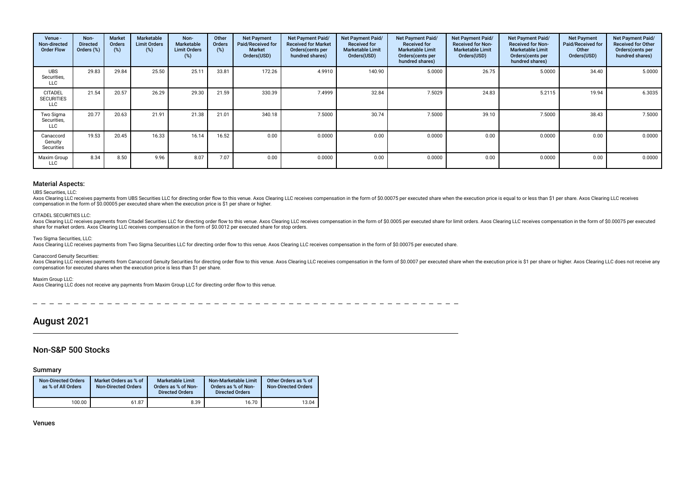| Venue -<br>Non-directed<br><b>Order Flow</b>      | Non-<br><b>Directed</b><br>Orders (%) | <b>Market</b><br><b>Orders</b><br>$(\%)$ | Marketable<br><b>Limit Orders</b><br>(%) | Non-<br><b>Marketable</b><br><b>Limit Orders</b><br>(%) | Other<br>Orders<br>(%) | <b>Net Payment</b><br>Paid/Received for<br><b>Market</b><br>Orders(USD) | <b>Net Payment Paid/</b><br><b>Received for Market</b><br>Orders (cents per<br>hundred shares) | Net Payment Paid/<br><b>Received for</b><br><b>Marketable Limit</b><br>Orders(USD) | Net Payment Paid/<br><b>Received for</b><br><b>Marketable Limit</b><br>Orders (cents per<br>hundred shares) | <b>Net Payment Paid/</b><br><b>Received for Non-</b><br><b>Marketable Limit</b><br>Orders(USD) | Net Payment Paid/<br><b>Received for Non-</b><br><b>Marketable Limit</b><br>Orders (cents per<br>hundred shares) | <b>Net Payment</b><br>Paid/Received for<br>Other<br>Orders(USD) | Net Payment Paid/<br><b>Received for Other</b><br>Orders(cents per<br>hundred shares) |
|---------------------------------------------------|---------------------------------------|------------------------------------------|------------------------------------------|---------------------------------------------------------|------------------------|-------------------------------------------------------------------------|------------------------------------------------------------------------------------------------|------------------------------------------------------------------------------------|-------------------------------------------------------------------------------------------------------------|------------------------------------------------------------------------------------------------|------------------------------------------------------------------------------------------------------------------|-----------------------------------------------------------------|---------------------------------------------------------------------------------------|
| <b>UBS</b><br>Securities,<br><b>LLC</b>           | 29.83                                 | 29.84                                    | 25.50                                    | 25.11                                                   | 33.81                  | 172.26                                                                  | 4.9910                                                                                         | 140.90                                                                             | 5.0000                                                                                                      | 26.75                                                                                          | 5.0000                                                                                                           | 34.40                                                           | 5.0000                                                                                |
| <b>CITADEL</b><br><b>SECURITIES</b><br><b>LLC</b> | 21.54                                 | 20.57                                    | 26.29                                    | 29.30                                                   | 21.59                  | 330.39                                                                  | 7.4999                                                                                         | 32.84                                                                              | 7.5029                                                                                                      | 24.83                                                                                          | 5.2115                                                                                                           | 19.94                                                           | 6.3035                                                                                |
| Two Sigma<br>Securities,<br><b>LLC</b>            | 20.77                                 | 20.63                                    | 21.91                                    | 21.38                                                   | 21.01                  | 340.18                                                                  | 7.5000                                                                                         | 30.74                                                                              | 7.5000                                                                                                      | 39.10                                                                                          | 7.5000                                                                                                           | 38.43                                                           | 7.5000                                                                                |
| Canaccord<br>Genuity<br>Securities                | 19.53                                 | 20.45                                    | 16.33                                    | 16.14                                                   | 16.52                  | 0.00                                                                    | 0.0000                                                                                         | 0.00                                                                               | 0.0000                                                                                                      | 0.00                                                                                           | 0.0000                                                                                                           | 0.00                                                            | 0.0000                                                                                |
| Maxim Group<br>LLC                                | 8.34                                  | 8.50                                     | 9.96                                     | 8.07                                                    | 7.07                   | 0.00                                                                    | 0.0000                                                                                         | 0.00                                                                               | 0.0000                                                                                                      | 0.00                                                                                           | 0.0000                                                                                                           | 0.00                                                            | 0.0000                                                                                |

# Material Aspects:

### UBS Securities, LLC:

Axos Clearing LLC receives payments from UBS Securities LLC for directing order flow to this venue. Axos Clearing LLC receives compensation in the form of \$0.00075 per executed share when the execution price is equal to or compensation in the form of \$0.00005 per executed share when the execution price is \$1 per share or higher.

#### CITADEL SECURITIES LLC:

Axos Clearing LLC receives payments from Citadel Securities LLC for directing order flow to this venue. Axos Clearing LLC receives compensation in the form of \$0.0005 per executed share for stop orders. Axos Clearing LLC r

Two Sigma Securities, LLC:

Axos Clearing LLC receives payments from Two Sigma Securities LLC for directing order flow to this venue. Axos Clearing LLC receives compensation in the form of \$0.00075 per executed share.

#### Canaccord Genuity Securities:

Axos Clearing LLC receives payments from Canaccord Genuity Securities for directing order flow to this venue. Axos Clearing LLC receives compensation in the form of \$0.0007 per executed share when the execution price is \$1 compensation for executed shares when the execution price is less than \$1 per share.

Maxim Group LLC:

Axos Clearing LLC does not receive any payments from Maxim Group LLC for directing order fow to this venue.

# August 2021

# Non-S&P 500 Stocks

#### Summary

| <b>Non-Directed Orders</b><br>as % of All Orders | Market Orders as % of<br><b>Non-Directed Orders</b> | Marketable Limit<br>Orders as % of Non-<br><b>Directed Orders</b> | Non-Marketable Limit<br>Orders as % of Non-<br><b>Directed Orders</b> | Other Orders as % of<br><b>Non-Directed Orders</b> |
|--------------------------------------------------|-----------------------------------------------------|-------------------------------------------------------------------|-----------------------------------------------------------------------|----------------------------------------------------|
| 100.00                                           | 61.87                                               | 8.39                                                              | 16.70                                                                 | 13.04                                              |

Venues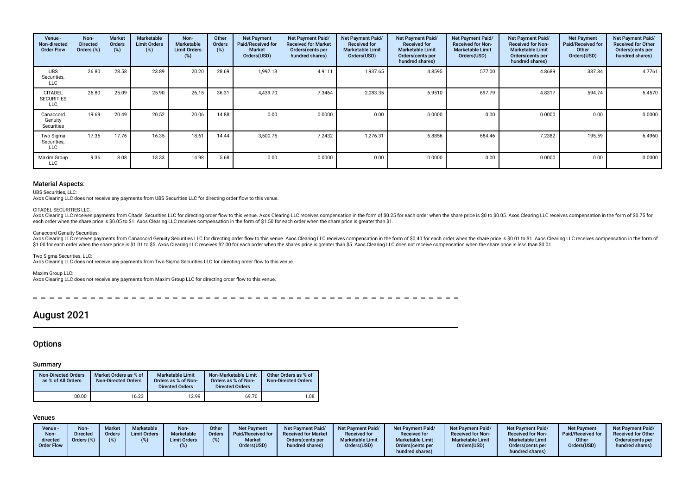| Venue -<br>Non-directed<br><b>Order Flow</b> | Non-<br><b>Directed</b><br>Orders (%) | <b>Market</b><br>Orders<br>$(\%)$ | Marketable<br><b>Limit Orders</b><br>(%) | Non-<br>Marketable<br><b>Limit Orders</b><br>(%) | Other<br>Orders<br>(%) | <b>Net Payment</b><br>Paid/Received for<br><b>Market</b><br>Orders(USD) | <b>Net Payment Paid/</b><br><b>Received for Market</b><br>Orders (cents per<br>hundred shares) | Net Payment Paid/<br><b>Received for</b><br><b>Marketable Limit</b><br>Orders(USD) | Net Payment Paid/<br><b>Received for</b><br><b>Marketable Limit</b><br>Orders(cents per<br>hundred shares) | Net Payment Paid/<br><b>Received for Non-</b><br><b>Marketable Limit</b><br>Orders(USD) | Net Payment Paid/<br><b>Received for Non-</b><br><b>Marketable Limit</b><br>Orders(cents per<br>hundred shares) | <b>Net Payment</b><br>Paid/Received for<br>Other<br>Orders(USD) | Net Payment Paid/<br><b>Received for Other</b><br>Orders (cents per<br>hundred shares) |
|----------------------------------------------|---------------------------------------|-----------------------------------|------------------------------------------|--------------------------------------------------|------------------------|-------------------------------------------------------------------------|------------------------------------------------------------------------------------------------|------------------------------------------------------------------------------------|------------------------------------------------------------------------------------------------------------|-----------------------------------------------------------------------------------------|-----------------------------------------------------------------------------------------------------------------|-----------------------------------------------------------------|----------------------------------------------------------------------------------------|
| <b>UBS</b><br>Securities,<br>LLC             | 26.80                                 | 28.58                             | 23.89                                    | 20.20                                            | 28.69                  | 1,997.13                                                                | 4.9111                                                                                         | 1,937.65                                                                           | 4.8595                                                                                                     | 577.00                                                                                  | 4.8689                                                                                                          | 337.34                                                          | 4.7761                                                                                 |
| <b>CITADEL</b><br><b>SECURITIES</b><br>LLC   | 26.80                                 | 25.09                             | 25.90                                    | 26.15                                            | 36.31                  | 4,439.70                                                                | 7.3464                                                                                         | 2,083.35                                                                           | 6.9510                                                                                                     | 697.79                                                                                  | 4.8317                                                                                                          | 594.74                                                          | 5.4570                                                                                 |
| Canaccord<br>Genuity<br>Securities           | 19.69                                 | 20.49                             | 20.52                                    | 20.06                                            | 14.88                  | 0.00                                                                    | 0.0000                                                                                         | 0.00                                                                               | 0.0000                                                                                                     | 0.00                                                                                    | 0.0000                                                                                                          | 0.00                                                            | 0.0000                                                                                 |
| Two Sigma<br>Securities,<br>LLC              | 17.35                                 | 17.76                             | 16.35                                    | 18.61                                            | 14.44                  | 3,500.75                                                                | 7.2432                                                                                         | 1,276.31                                                                           | 6.8856                                                                                                     | 684.46                                                                                  | 7.2382                                                                                                          | 195.59                                                          | 6.4960                                                                                 |
| Maxim Group<br>LLC                           | 9.36                                  | 8.08                              | 13.33                                    | 14.98                                            | 5.68                   | 0.00                                                                    | 0.0000                                                                                         | 0.00                                                                               | 0.0000                                                                                                     | 0.00                                                                                    | 0.0000                                                                                                          | 0.00                                                            | 0.0000                                                                                 |

# Material Aspects:

UBS Securities, LLC:

Axos Clearing LLC does not receive any payments from UBS Securities LLC for directing order fow to this venue.

#### CITADEL SECURITIES LLC:

Axos Clearing LLC receives payments from Citadel Securities LLC for directing order flow to this venue. Axos Clearing LLC receives compensation in the form of \$0.25 for each order when the share price is \$0 to \$0.05. Axos each order when the share price is \$0.05 to \$1. Axos Clearing LLC receives compensation in the form of \$1.50 for each order when the share price is greater than \$1.

#### Canaccord Genuity Securities:

Axos Clearing LLC receives payments from Canaccord Genuity Securities LLC for directing order flow to this venue. Axos Clearing LLC receives compensation in the form of \$0.40 for each order when the share price is \$0.01 to \$1.00 for each order when the share price is \$1.01 to \$5. Axos Clearing LLC receives \$2.00 for each order when the shares price is greater than \$5. Axos Clearing LLC does not receive compensation when the share price is le

#### Two Sigma Securities, LLC:

Axos Clearing LLC does not receive any payments from Two Sigma Securities LLC for directing order fow to this venue.

Maxim Group LLC:

Axos Clearing LLC does not receive any payments from Maxim Group LLC for directing order fow to this venue.

 $- - - - - - \sim$  $\frac{1}{2}$ 

# August 2021

# **Options**

### Summary

| <b>Non-Directed Orders</b><br>as % of All Orders | Market Orders as % of<br><b>Non-Directed Orders</b> | <b>Marketable Limit</b><br>Orders as % of Non-<br><b>Directed Orders</b> | Non-Marketable Limit<br>Orders as % of Non-<br><b>Directed Orders</b> | Other Orders as % of<br><b>Non-Directed Orders</b> |
|--------------------------------------------------|-----------------------------------------------------|--------------------------------------------------------------------------|-----------------------------------------------------------------------|----------------------------------------------------|
| 100.00                                           | 16.23                                               | 12.99                                                                    | 69.70                                                                 | 1.08                                               |

# Venues

| Venue -<br>Non-<br>directed<br><b>Order Flow</b> | Non-<br><b>Market</b><br><b>Directed</b><br><b>Orders</b><br>Orders (%) | Marketable<br><b>Limit Orders</b> | Non-<br>Marketable<br><b>Limit Orders</b> | Other<br><b>Orders</b><br>(o/ ) | <b>Net Payment</b><br>Paid/Received for<br><b>Market</b><br>Orders(USD) | <b>Net Payment Paid/</b><br><b>Received for Market</b><br>Orders (cents per<br>hundred shares) | <b>Net Payment Paid/</b><br><b>Received for</b><br><b>Marketable Limit</b><br>Orders(USD) | <b>Net Payment Paid/</b><br><b>Received for</b><br><b>Marketable Limit</b><br>Orders(cents per<br>hundred shares) | <b>Net Payment Paid/</b><br><b>Received for Non-</b><br><b>Marketable Limit</b><br>Orders(USD) | Net Payment Paid/<br><b>Received for Non-</b><br><b>Marketable Limit</b><br>Orders (cents per<br>hundred shares) | <b>Net Payment</b><br>Paid/Received for<br>Other<br>Orders(USD) | <b>Net Payment Paid/</b><br><b>Received for Other</b><br>Orders(cents per<br>hundred shares) |
|--------------------------------------------------|-------------------------------------------------------------------------|-----------------------------------|-------------------------------------------|---------------------------------|-------------------------------------------------------------------------|------------------------------------------------------------------------------------------------|-------------------------------------------------------------------------------------------|-------------------------------------------------------------------------------------------------------------------|------------------------------------------------------------------------------------------------|------------------------------------------------------------------------------------------------------------------|-----------------------------------------------------------------|----------------------------------------------------------------------------------------------|
|--------------------------------------------------|-------------------------------------------------------------------------|-----------------------------------|-------------------------------------------|---------------------------------|-------------------------------------------------------------------------|------------------------------------------------------------------------------------------------|-------------------------------------------------------------------------------------------|-------------------------------------------------------------------------------------------------------------------|------------------------------------------------------------------------------------------------|------------------------------------------------------------------------------------------------------------------|-----------------------------------------------------------------|----------------------------------------------------------------------------------------------|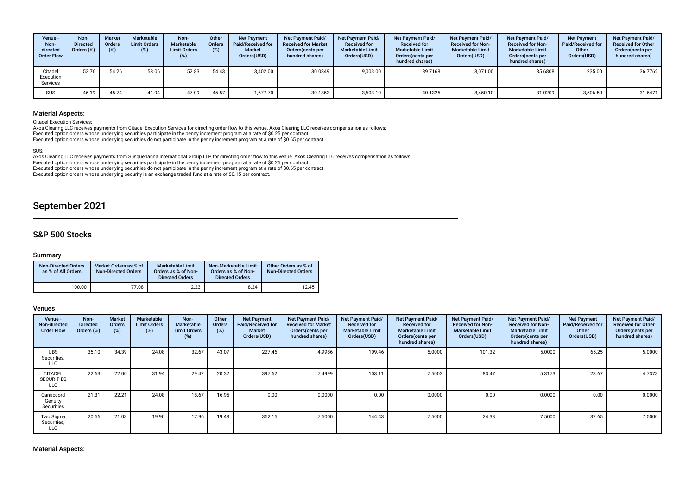| Venue -<br>Non-<br>directed<br><b>Order Flow</b> | Non-<br><b>Directed</b><br>Orders (%) | <b>Market</b><br><b>Orders</b><br>(%) | Marketable<br><b>Limit Orders</b><br>(%) | Non-<br><b>Marketable</b><br><b>Limit Orders</b><br>(%) | Other<br><b>Orders</b><br>$(\%)$ | <b>Net Payment</b><br>Paid/Received for<br><b>Market</b><br>Orders(USD) | <b>Net Payment Paid/</b><br><b>Received for Market</b><br>Orders (cents per<br>hundred shares) | <b>Net Payment Paid/</b><br><b>Received for</b><br><b>Marketable Limit</b><br>Orders(USD) | <b>Net Payment Paid/</b><br><b>Received for</b><br><b>Marketable Limit</b><br>Orders(cents per<br>hundred shares) | <b>Net Payment Paid/</b><br><b>Received for Non-</b><br><b>Marketable Limit</b><br>Orders(USD) | <b>Net Payment Paid/</b><br><b>Received for Non-</b><br><b>Marketable Limit</b><br>Orders (cents per<br>hundred shares) | <b>Net Payment</b><br><b>Paid/Received for</b><br>Other<br>Orders(USD) | <b>Net Payment Paid/</b><br><b>Received for Other</b><br>Orders(cents per<br>hundred shares) |
|--------------------------------------------------|---------------------------------------|---------------------------------------|------------------------------------------|---------------------------------------------------------|----------------------------------|-------------------------------------------------------------------------|------------------------------------------------------------------------------------------------|-------------------------------------------------------------------------------------------|-------------------------------------------------------------------------------------------------------------------|------------------------------------------------------------------------------------------------|-------------------------------------------------------------------------------------------------------------------------|------------------------------------------------------------------------|----------------------------------------------------------------------------------------------|
| Citadel<br>Execution<br>Services                 | 53.76                                 | 54.26                                 | 58.06                                    | 52.83                                                   | 54.43                            | 3.402.00                                                                | 30.0849                                                                                        | 9.003.00                                                                                  | 39.7168                                                                                                           | 8.071.00                                                                                       | 35.6808                                                                                                                 | 235.00                                                                 | 36.7762                                                                                      |
| SUS                                              | 46.19                                 | 45.74                                 | 41.94                                    | 47.09                                                   | 45.57                            | ,677.70                                                                 | 30.1853                                                                                        | 3,603.10                                                                                  | 40.1325                                                                                                           | 8,450.10                                                                                       | 31.0209                                                                                                                 | 3,506.50                                                               | 31.6471                                                                                      |

# Material Aspects:

Citadel Execution Services:

Axos Clearing LLC receives payments from Citadel Execution Services for directing order flow to this venue. Axos Clearing LLC receives compensation as follows:<br>Executed option orders whose underlying securities participate Executed option orders whose underlying securities do not participate in the penny increment program at a rate of \$0.65 per contract.

#### SUS:

Axos Clearing LLC receives payments from Susquehanna International Group LLP for directing order flow to this venue. Axos Clearing LLC receives compensation as follows: Executed option orders whose underlying securities participate in the penny increment program at a rate of \$0.25 per contract. Executed option orders whose underlying securities do not participate in the penny increment program at a rate of \$0.65 per contract. Executed option orders whose underlying security is an exchange traded fund at a rate of \$0.15 per contract.

# September 2021

# S&P 500 Stocks

## Summary

| <b>Non-Directed Orders</b><br>as % of All Orders | Market Orders as % of<br><b>Non-Directed Orders</b> | Marketable Limit<br>Orders as % of Non-<br><b>Directed Orders</b> | Non-Marketable Limit<br>Orders as % of Non-<br><b>Directed Orders</b> | Other Orders as % of<br><b>Non-Directed Orders</b> |
|--------------------------------------------------|-----------------------------------------------------|-------------------------------------------------------------------|-----------------------------------------------------------------------|----------------------------------------------------|
| 100.00                                           | 77.08                                               | 2.23                                                              | 8.24                                                                  | 12.45                                              |

### Venues

| Venue -<br>Non-directed<br><b>Order Flow</b> | Non-<br><b>Directed</b><br>Orders (%) | <b>Market</b><br>Orders<br>$(\%)$ | Marketable<br><b>Limit Orders</b><br>(%) | Non-<br><b>Marketable</b><br><b>Limit Orders</b><br>(%) | Other<br>Orders<br>(%) | <b>Net Payment</b><br>Paid/Received for<br><b>Market</b><br>Orders(USD) | Net Payment Paid/<br><b>Received for Market</b><br>Orders(cents per<br>hundred shares) | Net Payment Paid/<br><b>Received for</b><br><b>Marketable Limit</b><br>Orders(USD) | Net Payment Paid/<br><b>Received for</b><br><b>Marketable Limit</b><br>Orders (cents per<br>hundred shares) | <b>Net Payment Paid/</b><br><b>Received for Non-</b><br><b>Marketable Limit</b><br>Orders(USD) | Net Payment Paid/<br><b>Received for Non-</b><br><b>Marketable Limit</b><br>Orders (cents per<br>hundred shares) | <b>Net Payment</b><br>Paid/Received for<br>Other<br>Orders(USD) | <b>Net Payment Paid/</b><br><b>Received for Other</b><br>Orders (cents per<br>hundred shares) |
|----------------------------------------------|---------------------------------------|-----------------------------------|------------------------------------------|---------------------------------------------------------|------------------------|-------------------------------------------------------------------------|----------------------------------------------------------------------------------------|------------------------------------------------------------------------------------|-------------------------------------------------------------------------------------------------------------|------------------------------------------------------------------------------------------------|------------------------------------------------------------------------------------------------------------------|-----------------------------------------------------------------|-----------------------------------------------------------------------------------------------|
| <b>UBS</b><br>Securities,<br>LLC             | 35.10                                 | 34.39                             | 24.08                                    | 32.67                                                   | 43.07                  | 227.46                                                                  | 4.9986                                                                                 | 109.46                                                                             | 5.0000                                                                                                      | 101.32                                                                                         | 5.0000                                                                                                           | 65.25                                                           | 5.0000                                                                                        |
| <b>CITADEL</b><br><b>SECURITIES</b><br>LLC   | 22.63                                 | 22.00                             | 31.94                                    | 29.42                                                   | 20.32                  | 397.62                                                                  | 7.4999                                                                                 | 103.11                                                                             | 7.5003                                                                                                      | 83.47                                                                                          | 5.3173                                                                                                           | 23.67                                                           | 4.7373                                                                                        |
| Canaccord<br>Genuity<br>Securities           | 21.31                                 | 22.21                             | 24.08                                    | 18.67                                                   | 16.95                  | 0.00                                                                    | 0.0000                                                                                 | 0.00                                                                               | 0.0000                                                                                                      | 0.00                                                                                           | 0.0000                                                                                                           | 0.00                                                            | 0.0000                                                                                        |
| Two Sigma<br>Securities,<br>LLC              | 20.56                                 | 21.03                             | 19.90                                    | 17.96                                                   | 19.48                  | 352.15                                                                  | 7.5000                                                                                 | 144.43                                                                             | 7.5000                                                                                                      | 24.33                                                                                          | 7.5000                                                                                                           | 32.65                                                           | 7.5000                                                                                        |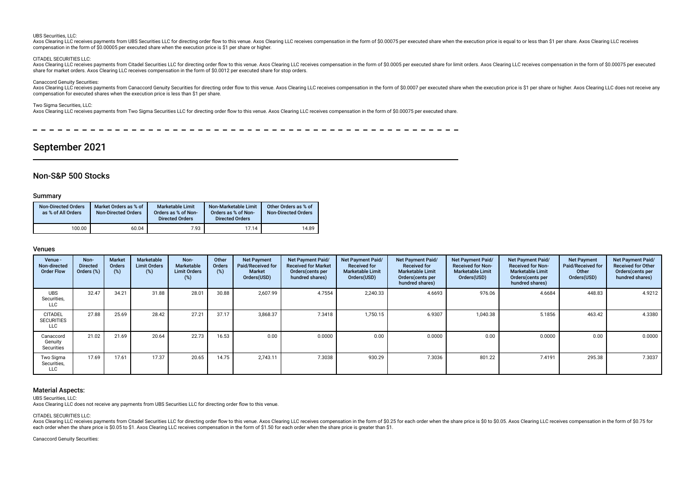#### UBS Securities, LLC:

Axos Clearing LLC receives payments from UBS Securities LLC for directing order flow to this venue. Axos Clearing LLC receives compensation in the form of \$0.00075 per executed share when the execution price is equal to or compensation in the form of \$0.00005 per executed share when the execution price is \$1 per share or higher.

#### CITADEL SECURITIES LLC:

Axos Clearing LLC receives payments from Citadel Securities LLC for directing order flow to this venue. Axos Clearing LLC receives compensation in the form of \$0.0005 per executed share for limit orders. Axos Clearing LLC share for market orders. Axos Clearing LLC receives compensation in the form of \$0.0012 per executed share for stop orders.

#### Canaccord Genuity Securities:

Axos Clearing LLC receives payments from Canaccord Genuity Securities for directing order flow to this venue. Axos Clearing LLC receives compensation in the form of \$0.0007 per executed share when the execution price is \$1 compensation for executed shares when the execution price is less than \$1 per share.

#### Two Sigma Securities, LLC:

Axos Clearing LLC receives payments from Two Sigma Securities LLC for directing order flow to this venue. Axos Clearing LLC receives compensation in the form of \$0.00075 per executed share.

# September 2021

# Non-S&P 500 Stocks

#### Summary

| <b>Non-Directed Orders</b><br>as % of All Orders | Market Orders as % of<br><b>Non-Directed Orders</b> | <b>Marketable Limit</b><br>Orders as % of Non-<br><b>Directed Orders</b> | Non-Marketable Limit<br>Orders as % of Non-<br><b>Directed Orders</b> | Other Orders as % of<br><b>Non-Directed Orders</b> |
|--------------------------------------------------|-----------------------------------------------------|--------------------------------------------------------------------------|-----------------------------------------------------------------------|----------------------------------------------------|
| 100.00                                           | 60.04                                               | 7.93                                                                     | 17.14                                                                 | 14.89                                              |

### Venues

| Venue -<br>Non-directed<br><b>Order Flow</b>      | Non-<br><b>Directed</b><br>Orders (%) | <b>Market</b><br>Orders<br>$(\%)$ | Marketable<br><b>Limit Orders</b><br>(%) | Non-<br><b>Marketable</b><br><b>Limit Orders</b><br>(%) | Other<br><b>Orders</b><br>(%) | <b>Net Payment</b><br>Paid/Received for<br><b>Market</b><br>Orders(USD) | Net Payment Paid/<br><b>Received for Market</b><br>Orders (cents per<br>hundred shares) | Net Payment Paid/<br><b>Received for</b><br><b>Marketable Limit</b><br>Orders(USD) | Net Payment Paid/<br><b>Received for</b><br><b>Marketable Limit</b><br>Orders(cents per<br>hundred shares) | Net Payment Paid/<br><b>Received for Non-</b><br><b>Marketable Limit</b><br>Orders(USD) | Net Payment Paid/<br><b>Received for Non-</b><br><b>Marketable Limit</b><br>Orders (cents per<br>hundred shares) | <b>Net Payment</b><br><b>Paid/Received for</b><br>Other<br>Orders(USD) | Net Payment Paid/<br><b>Received for Other</b><br>Orders (cents per<br>hundred shares) |
|---------------------------------------------------|---------------------------------------|-----------------------------------|------------------------------------------|---------------------------------------------------------|-------------------------------|-------------------------------------------------------------------------|-----------------------------------------------------------------------------------------|------------------------------------------------------------------------------------|------------------------------------------------------------------------------------------------------------|-----------------------------------------------------------------------------------------|------------------------------------------------------------------------------------------------------------------|------------------------------------------------------------------------|----------------------------------------------------------------------------------------|
| <b>UBS</b><br>Securities,<br><b>LLC</b>           | 32.47                                 | 34.21                             | 31.88                                    | 28.01                                                   | 30.88                         | 2,607.99                                                                | 4.7554                                                                                  | 2,240.33                                                                           | 4.6693                                                                                                     | 976.06                                                                                  | 4.6684                                                                                                           | 448.83                                                                 | 4.9212                                                                                 |
| <b>CITADEL</b><br><b>SECURITIES</b><br><b>LLC</b> | 27.88                                 | 25.69                             | 28.42                                    | 27.21                                                   | 37.17                         | 3,868.37                                                                | 7.3418                                                                                  | 1,750.15                                                                           | 6.9307                                                                                                     | 1,040.38                                                                                | 5.1856                                                                                                           | 463.42                                                                 | 4.3380                                                                                 |
| Canaccord<br>Genuity<br>Securities                | 21.02                                 | 21.69                             | 20.64                                    | 22.73                                                   | 16.53                         | 0.00                                                                    | 0.0000                                                                                  | 0.00                                                                               | 0.0000                                                                                                     | 0.00                                                                                    | 0.0000                                                                                                           | 0.00                                                                   | 0.0000                                                                                 |
| Two Sigma<br>Securities,<br><b>LLC</b>            | 17.69                                 | 17.61                             | 17.37                                    | 20.65                                                   | 14.75                         | 2,743.11                                                                | 7.3038                                                                                  | 930.29                                                                             | 7.3036                                                                                                     | 801.22                                                                                  | 7.4191                                                                                                           | 295.38                                                                 | 7.3037                                                                                 |

#### Material Aspects:

UBS Securities, LLC:

Axos Clearing LLC does not receive any payments from UBS Securities LLC for directing order fow to this venue.

CITADEL SECURITIES LLC:

Axos Clearing LLC receives payments from Citadel Securities LLC for directing order flow to this venue. Axos Clearing LLC receives compensation in the form of \$0.25 for each order when the share price is \$0 to \$0.05. Axos each order when the share price is \$0.05 to \$1. Axos Clearing LLC receives compensation in the form of \$1.50 for each order when the share price is greater than \$1.

Canaccord Genuity Securities: